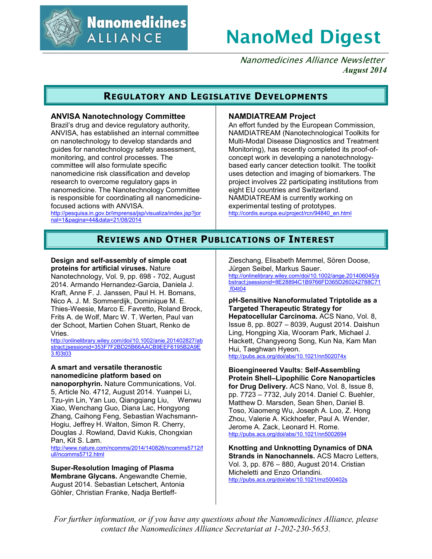

**Nanomedicines ALLIANCE** 

# **NanoMed Digest**

Nanomedicines Alliance Newsletter *August 2014*

### **REGULATORY AND LEGISLATIVE DEVELOPMENTS**

### **ANVISA Nanotechnology Committee**

Brazil's drug and device regulatory authority, ANVISA, has established an internal committee on nanotechnology to develop standards and guides for nanotechnology safety assessment, monitoring, and control processes. The committee will also formulate specific nanomedicine risk classification and develop research to overcome regulatory gaps in nanomedicine. The Nanotechnology Committee is responsible for coordinating all nanomedicinefocused actions with ANVISA.

http://pesquisa.in.gov.br/imprensa/jsp/visualiza/index.jsp?jor nal=1&pagina=44&data=21/08/2014

### **NAMDIATREAM Project**

An effort funded by the European Commission, NAMDIATREAM (Nanotechnological Toolkits for Multi-Modal Disease Diagnostics and Treatment Monitoring), has recently completed its proof-ofconcept work in developing a nanotechnologybased early cancer detection toolkit. The toolkit uses detection and imaging of biomarkers. The project involves 22 participating institutions from eight EU countries and Switzerland. NAMDIATREAM is currently working on experimental testing of prototypes. http://cordis.europa.eu/project/rcn/94840\_en.html

### **REVIEWS AND OTHER PUBLICATIONS OF INTEREST**

### **Design and self-assembly of simple coat proteins for artificial viruses.** Nature

Nanotechnology, Vol. 9, pp. 698 - 702, August 2014. Armando Hernandez-Garcia, Daniela J. Kraft, Anne F. J. Janssen, Paul H. H. Bomans, Nico A. J. M. Sommerdijk, Dominique M. E. Thies-Weesie, Marco E. Favretto, Roland Brock, Frits A. de Wolf, Marc W. T. Werten, Paul van der Schoot, Martien Cohen Stuart, Renko de Vries.

http://onlinelibrary.wiley.com/doi/10.1002/anie.201402827/ab stract;jsessionid=353F7F2BD25B66AACB9EEF6195B2A9E 3.f03t03

### **A smart and versatile theranostic nanomedicine platform based on**

**nanoporphyrin.** Nature Communications, Vol. 5, Article No. 4712, August 2014. Yuanpei Li, Tzu-yin Lin, Yan Luo, Qiangqiang Liu, Wenwu Xiao, Wenchang Guo, Diana Lac, Hongyong Zhang, Caihong Feng, Sebastian Wachsmann-Hogiu, Jeffrey H. Walton, Simon R. Cherry, Douglas J. Rowland, David Kukis, Chongxian Pan, Kit S. Lam.

http://www.nature.com/ncomms/2014/140826/ncomms5712/f ull/ncomms5712.html

**Super-Resolution Imaging of Plasma Membrane Glycans.** Angewandte Chemie, August 2014. Sebastian Letschert, Antonia Göhler, Christian Franke, Nadja BertleffZieschang, Elisabeth Memmel, Sören Doose, Jürgen Seibel, Markus Sauer.

http://onlinelibrary.wiley.com/doi/10.1002/ange.201406045/a bstract;jsessionid=8E28894C1B9766FD365D260242788C71 .f04t04

#### **pH-Sensitive Nanoformulated Triptolide as a Targeted Therapeutic Strategy for**

**Hepatocellular Carcinoma.** ACS Nano, Vol. 8, Issue 8, pp. 8027 – 8039, August 2014. Daishun Ling, Hongping Xia, Wooram Park, Michael J. Hackett, Changyeong Song, Kun Na, Kam Man Hui, Taeghwan Hyeon.

http://pubs.acs.org/doi/abs/10.1021/nn502074x

**Bioengineered Vaults: Self-Assembling Protein Shell–Lipophilic Core Nanoparticles for Drug Delivery.** ACS Nano, Vol. 8, Issue 8, pp. 7723 – 7732, July 2014. Daniel C. Buehler, Matthew D. Marsden, Sean Shen, Daniel B. Toso, Xiaomeng Wu, Joseph A. Loo, Z. Hong Zhou, Valerie A. Kickhoefer, Paul A. Wender, Jerome A. Zack, Leonard H. Rome. http://pubs.acs.org/doi/abs/10.1021/nn5002694

**Knotting and Unknotting Dynamics of DNA Strands in Nanochannels.** ACS Macro Letters, Vol. 3, pp. 876 – 880, August 2014. Cristian Micheletti and Enzo Orlandini. http://pubs.acs.org/doi/abs/10.1021/mz500402s

*For further information, or if you have any questions about the Nanomedicines Alliance, please contact the Nanomedicines Alliance Secretariat at 1-202-230-5653.*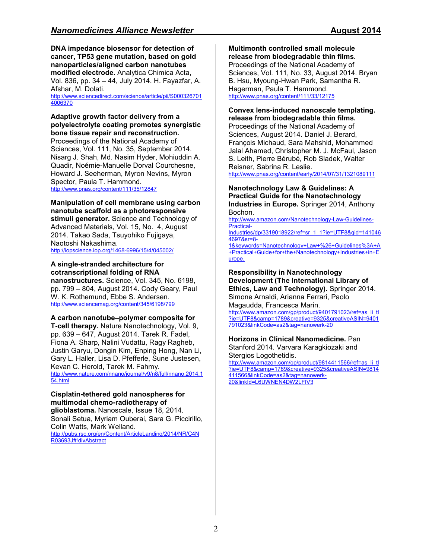**DNA impedance biosensor for detection of cancer, TP53 gene mutation, based on gold nanoparticles/aligned carbon nanotubes modified electrode.** Analytica Chimica Acta, Vol. 836, pp. 34 – 44, July 2014. H. Fayazfar, A. Afshar, M. Dolati. http://www.sciencedirect.com/science/article/pii/S000326701

4006370

### **Adaptive growth factor delivery from a polyelectrolyte coating promotes synergistic bone tissue repair and reconstruction.**

Proceedings of the National Academy of Sciences, Vol. 111, No. 35, September 2014. Nisarg J. Shah, Md. Nasim Hyder, Mohiuddin A. Quadir, Noémie-Manuelle Dorval Courchesne, Howard J. Seeherman, Myron Nevins, Myron Spector, Paula T. Hammond. http://www.pnas.org/content/111/35/12847

**Manipulation of cell membrane using carbon nanotube scaffold as a photoresponsive stimuli generator.** Science and Technology of Advanced Materials, Vol. 15, No. 4, August 2014. Takao Sada, Tsuyohiko Fujigaya, Naotoshi Nakashima.

http://iopscience.iop.org/1468-6996/15/4/045002/

### **A single-stranded architecture for cotranscriptional folding of RNA**

**nanostructures.** Science, Vol. 345, No. 6198, pp. 799 – 804, August 2014. Cody Geary, Paul W. K. Rothemund, Ebbe S. Andersen. http://www.sciencemag.org/content/345/6198/799

**A carbon nanotube–polymer composite for T-cell therapy.** Nature Nanotechnology, Vol. 9, pp. 639 – 647, August 2014. Tarek R. Fadel, Fiona A. Sharp, Nalini Vudattu, Ragy Ragheb, Justin Garyu, Dongin Kim, Enping Hong, Nan Li, Gary L. Haller, Lisa D. Pfefferle, Sune Justesen, Kevan C. Herold, Tarek M. Fahmy. http://www.nature.com/nnano/journal/v9/n8/full/nnano.2014.1 54.html

### **Cisplatin-tethered gold nanospheres for multimodal chemo-radiotherapy of**

**glioblastoma.** Nanoscale, Issue 18, 2014. Sonali Setua, Myriam Ouberai, Sara G. Piccirillo, Colin Watts, Mark Welland. http://pubs.rsc.org/en/Content/ArticleLanding/2014/NR/C4N

R03693J#!divAbstract

**Multimonth controlled small molecule release from biodegradable thin films.** Proceedings of the National Academy of Sciences, Vol. 111, No. 33, August 2014. Bryan B. Hsu, Myoung-Hwan Park, Samantha R. Hagerman, Paula T. Hammond. http://www.pnas.org/content/111/33/12175

### **Convex lens-induced nanoscale templating. release from biodegradable thin films.**

Proceedings of the National Academy of Sciences, August 2014. Daniel J. Berard, François Michaud, Sara Mahshid, Mohammed Jalal Ahamed, Christopher M. J. McFaul, Jason S. Leith, Pierre Bérubé, Rob Sladek, Walter Reisner, Sabrina R. Leslie.

## http://www.pnas.org/content/early/2014/07/31/1321089111

**Nanotechnology Law & Guidelines: A Practical Guide for the Nanotechnology Industries in Europe.** Springer 2014, Anthony Bochon.

http://www.amazon.com/Nanotechnology-Law-Guidelines-Practical-

Industries/dp/3319018922/ref=sr\_1\_1?ie=UTF8&qid=141046 4697&sr=8-

1&keywords=Nanotechnology+Law+%26+Guidelines%3A+A +Practical+Guide+for+the+Nanotechnology+Industries+in+E urope.

#### **Responsibility in Nanotechnology Development (The International Library of Ethics, Law and Technology).** Springer 2014. Simone Arnaldi, Arianna Ferrari, Paolo Magaudda, Francesca Marin.

http://www.amazon.com/gp/product/9401791023/ref=as\_li\_tl ?ie=UTF8&camp=1789&creative=9325&creativeASIN=9401 791023&linkCode=as2&tag=nanowerk-20

#### **Horizons in Clinical Nanomedicine.** Pan Stanford 2014. Varvara Karagkiozaki and Stergios Logothetidis.

http://www.amazon.com/gp/product/9814411566/ref=as\_li\_tl ?ie=UTF8&camp=1789&creative=9325&creativeASIN=9814 411566&linkCode=as2&tag=nanowerk-20&linkId=L6UWNEN4DW2LFIV3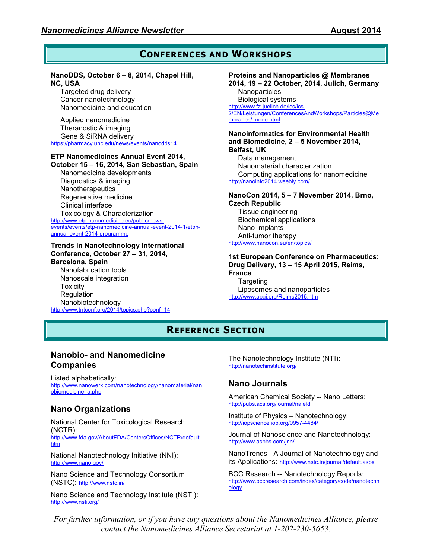#### **CONFERENCES AND WORKSHOPS NanoDDS, October 6 – 8, 2014, Chapel Hill, NC, USA**  Targeted drug delivery Cancer nanotechnology Nanomedicine and education Applied nanomedicine Theranostic & imaging Gene & SiRNA delivery https://pharmacy.unc.edu/news/events/nanodds14 **ETP Nanomedicines Annual Event 2014, October 15 – 16, 2014, San Sebastian, Spain**  Nanomedicine developments Diagnostics & imaging **Nanotherapeutics** Regenerative medicine Clinical interface Toxicology & Characterization http://www.etp-nanomedicine.eu/public/newsevents/events/etp-nanomedicine-annual-event-2014-1/etpnannual-event-2014-programme **Trends in Nanotechnology International Conference, October 27 – 31, 2014, Barcelona, Spain**  Nanofabrication tools Nanoscale integration **Toxicity Regulation Proteins and Nanoparticles @ Membranes 2014, 19 – 22 October, 2014, Julich, Germany Nanoparticles** Biological systems http://www.fz-juelich.de/ics/ics-2/EN/Leistungen/ConferencesAndWorkshops/Particles@Me mbranes/\_node.html **Nanoinformatics for Environmental Health and Biomedicine, 2 – 5 November 2014, Belfast, UK**  Data management Nanomaterial characterization Computing applications for nanomedicine http://nanoinfo2014.weebly.com/ **NanoCon 2014, 5 – 7 November 2014, Brno, Czech Republic**  Tissue engineering Biochemical applications Nano-implants Anti-tumor therapy http://www.nanocon.eu/en/topics/ **1st European Conference on Pharmaceutics: Drug Delivery, 13 – 15 April 2015, Reims, France Targeting** Liposomes and nanoparticles http://www.apgi.org/Reims2015.htm

### **REFERENCE SECTION**

### **Nanobio- and Nanomedicine Companies**

http://www.tntconf.org/2014/topics.php?conf=14

Listed alphabetically: http://www.nanowerk.com/nanotechnology/nanomaterial/nan obiomedicine\_a.php

### **Nano Organizations**

Nanobiotechnology

National Center for Toxicological Research (NCTR): http://www.fda.gov/AboutFDA/CentersOffices/NCTR/default. htm

National Nanotechnology Initiative (NNI): http://www.nano.gov/

Nano Science and Technology Consortium (NSTC): http://www.nstc.in/

Nano Science and Technology Institute (NSTI): http://www.nsti.org/

The Nanotechnology Institute (NTI): http://nanotechinstitute.org/

### **Nano Journals**

American Chemical Society -- Nano Letters: http://pubs.acs.org/journal/nalefd

Institute of Physics – Nanotechnology: http://iopscience.iop.org/0957-4484/

Journal of Nanoscience and Nanotechnology: http://www.aspbs.com/jnn/

NanoTrends - A Journal of Nanotechnology and its Applications: http://www.nstc.in/journal/default.aspx

BCC Research -- Nanotechnology Reports: http://www.bccresearch.com/index/category/code/nanotechn ology

*For further information, or if you have any questions about the Nanomedicines Alliance, please contact the Nanomedicines Alliance Secretariat at 1-202-230-5653.*